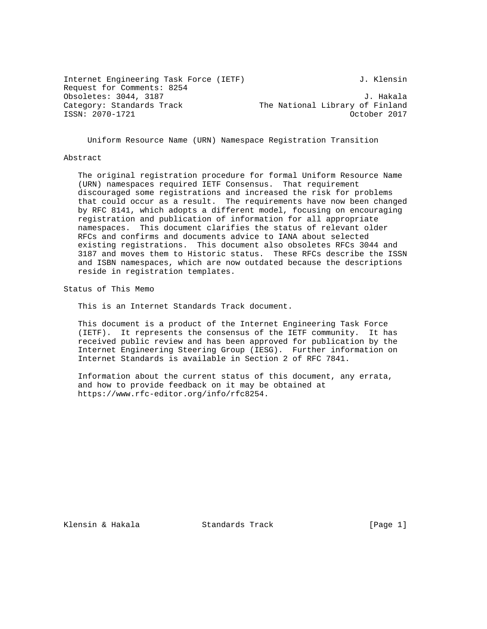Internet Engineering Task Force (IETF) 3. Klensin Request for Comments: 8254 Obsoletes: 3044, 3187 J. Hakala Category: Standards Track The National Library of Finland ISSN: 2070-1721 October 2017

Uniform Resource Name (URN) Namespace Registration Transition

#### Abstract

 The original registration procedure for formal Uniform Resource Name (URN) namespaces required IETF Consensus. That requirement discouraged some registrations and increased the risk for problems that could occur as a result. The requirements have now been changed by RFC 8141, which adopts a different model, focusing on encouraging registration and publication of information for all appropriate namespaces. This document clarifies the status of relevant older RFCs and confirms and documents advice to IANA about selected existing registrations. This document also obsoletes RFCs 3044 and 3187 and moves them to Historic status. These RFCs describe the ISSN and ISBN namespaces, which are now outdated because the descriptions reside in registration templates.

Status of This Memo

This is an Internet Standards Track document.

 This document is a product of the Internet Engineering Task Force (IETF). It represents the consensus of the IETF community. It has received public review and has been approved for publication by the Internet Engineering Steering Group (IESG). Further information on Internet Standards is available in Section 2 of RFC 7841.

 Information about the current status of this document, any errata, and how to provide feedback on it may be obtained at https://www.rfc-editor.org/info/rfc8254.

Klensin & Hakala Standards Track [Page 1]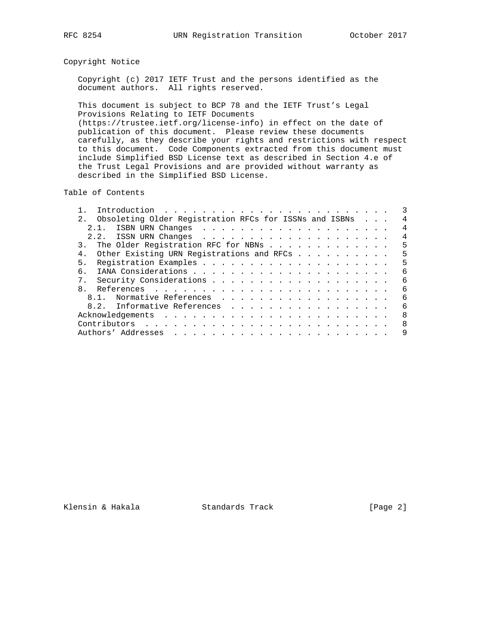# Copyright Notice

 Copyright (c) 2017 IETF Trust and the persons identified as the document authors. All rights reserved.

 This document is subject to BCP 78 and the IETF Trust's Legal Provisions Relating to IETF Documents (https://trustee.ietf.org/license-info) in effect on the date of publication of this document. Please review these documents carefully, as they describe your rights and restrictions with respect to this document. Code Components extracted from this document must include Simplified BSD License text as described in Section 4.e of the Trust Legal Provisions and are provided without warranty as

Table of Contents

described in the Simplified BSD License.

| Obsoleting Older Registration RFCs for ISSNs and ISBNs |  | 4  |
|--------------------------------------------------------|--|----|
| 2.1.                                                   |  | 4  |
|                                                        |  | 4  |
| The Older Registration RFC for NBNs                    |  | 5  |
| Other Existing URN Registrations and RFCs              |  | 5  |
| 5.                                                     |  | 5  |
| б.                                                     |  | 6  |
| $7$ .                                                  |  | -6 |
| 8                                                      |  | 6  |
| Normative References<br>$8.1$ .                        |  | 6  |
| 8.2. Informative References                            |  | 6  |
|                                                        |  | -8 |
|                                                        |  | -8 |
|                                                        |  | 9  |

Klensin & Hakala Standards Track [Page 2]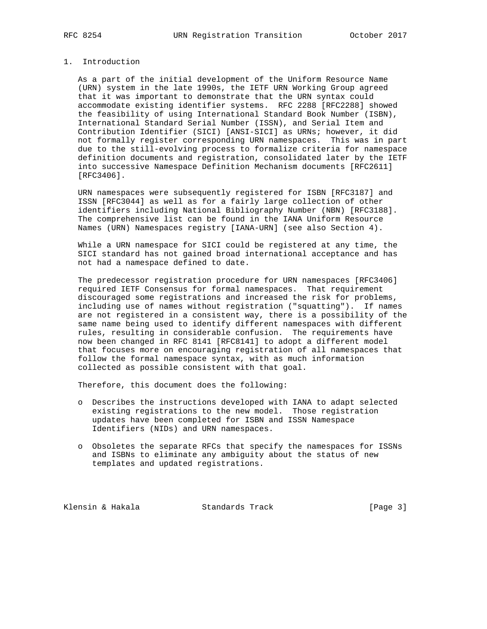## 1. Introduction

 As a part of the initial development of the Uniform Resource Name (URN) system in the late 1990s, the IETF URN Working Group agreed that it was important to demonstrate that the URN syntax could accommodate existing identifier systems. RFC 2288 [RFC2288] showed the feasibility of using International Standard Book Number (ISBN), International Standard Serial Number (ISSN), and Serial Item and Contribution Identifier (SICI) [ANSI-SICI] as URNs; however, it did not formally register corresponding URN namespaces. This was in part due to the still-evolving process to formalize criteria for namespace definition documents and registration, consolidated later by the IETF into successive Namespace Definition Mechanism documents [RFC2611] [RFC3406].

 URN namespaces were subsequently registered for ISBN [RFC3187] and ISSN [RFC3044] as well as for a fairly large collection of other identifiers including National Bibliography Number (NBN) [RFC3188]. The comprehensive list can be found in the IANA Uniform Resource Names (URN) Namespaces registry [IANA-URN] (see also Section 4).

 While a URN namespace for SICI could be registered at any time, the SICI standard has not gained broad international acceptance and has not had a namespace defined to date.

 The predecessor registration procedure for URN namespaces [RFC3406] required IETF Consensus for formal namespaces. That requirement discouraged some registrations and increased the risk for problems, including use of names without registration ("squatting"). If names are not registered in a consistent way, there is a possibility of the same name being used to identify different namespaces with different rules, resulting in considerable confusion. The requirements have now been changed in RFC 8141 [RFC8141] to adopt a different model that focuses more on encouraging registration of all namespaces that follow the formal namespace syntax, with as much information collected as possible consistent with that goal.

Therefore, this document does the following:

- o Describes the instructions developed with IANA to adapt selected existing registrations to the new model. Those registration updates have been completed for ISBN and ISSN Namespace Identifiers (NIDs) and URN namespaces.
- o Obsoletes the separate RFCs that specify the namespaces for ISSNs and ISBNs to eliminate any ambiguity about the status of new templates and updated registrations.

Klensin & Hakala Standards Track [Page 3]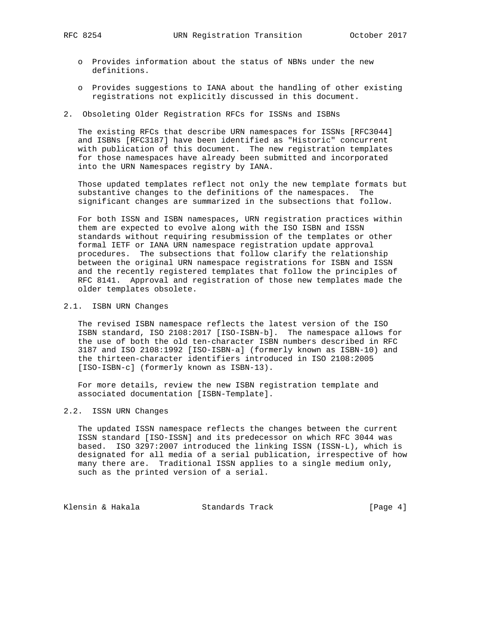- 
- o Provides information about the status of NBNs under the new definitions.
- o Provides suggestions to IANA about the handling of other existing registrations not explicitly discussed in this document.
- 2. Obsoleting Older Registration RFCs for ISSNs and ISBNs

 The existing RFCs that describe URN namespaces for ISSNs [RFC3044] and ISBNs [RFC3187] have been identified as "Historic" concurrent with publication of this document. The new registration templates for those namespaces have already been submitted and incorporated into the URN Namespaces registry by IANA.

 Those updated templates reflect not only the new template formats but substantive changes to the definitions of the namespaces. The significant changes are summarized in the subsections that follow.

 For both ISSN and ISBN namespaces, URN registration practices within them are expected to evolve along with the ISO ISBN and ISSN standards without requiring resubmission of the templates or other formal IETF or IANA URN namespace registration update approval procedures. The subsections that follow clarify the relationship between the original URN namespace registrations for ISBN and ISSN and the recently registered templates that follow the principles of RFC 8141. Approval and registration of those new templates made the older templates obsolete.

# 2.1. ISBN URN Changes

 The revised ISBN namespace reflects the latest version of the ISO ISBN standard, ISO 2108:2017 [ISO-ISBN-b]. The namespace allows for the use of both the old ten-character ISBN numbers described in RFC 3187 and ISO 2108:1992 [ISO-ISBN-a] (formerly known as ISBN-10) and the thirteen-character identifiers introduced in ISO 2108:2005 [ISO-ISBN-c] (formerly known as ISBN-13).

 For more details, review the new ISBN registration template and associated documentation [ISBN-Template].

## 2.2. ISSN URN Changes

 The updated ISSN namespace reflects the changes between the current ISSN standard [ISO-ISSN] and its predecessor on which RFC 3044 was based. ISO 3297:2007 introduced the linking ISSN (ISSN-L), which is designated for all media of a serial publication, irrespective of how many there are. Traditional ISSN applies to a single medium only, such as the printed version of a serial.

Klensin & Hakala Standards Track [Page 4]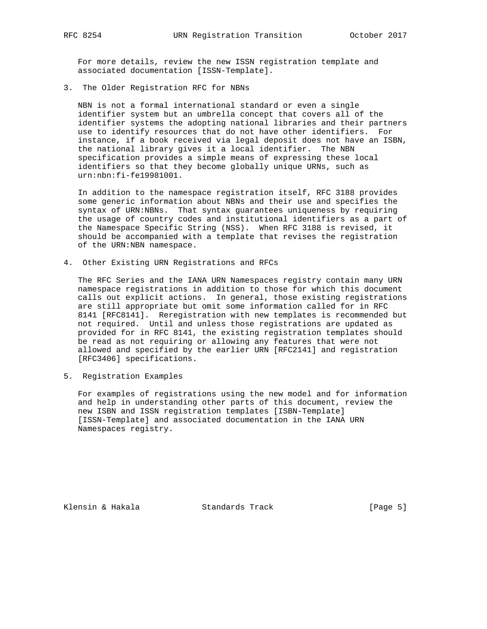For more details, review the new ISSN registration template and associated documentation [ISSN-Template].

3. The Older Registration RFC for NBNs

 NBN is not a formal international standard or even a single identifier system but an umbrella concept that covers all of the identifier systems the adopting national libraries and their partners use to identify resources that do not have other identifiers. For instance, if a book received via legal deposit does not have an ISBN, the national library gives it a local identifier. The NBN specification provides a simple means of expressing these local identifiers so that they become globally unique URNs, such as urn:nbn:fi-fe19981001.

 In addition to the namespace registration itself, RFC 3188 provides some generic information about NBNs and their use and specifies the syntax of URN:NBNs. That syntax guarantees uniqueness by requiring the usage of country codes and institutional identifiers as a part of the Namespace Specific String (NSS). When RFC 3188 is revised, it should be accompanied with a template that revises the registration of the URN:NBN namespace.

4. Other Existing URN Registrations and RFCs

 The RFC Series and the IANA URN Namespaces registry contain many URN namespace registrations in addition to those for which this document calls out explicit actions. In general, those existing registrations are still appropriate but omit some information called for in RFC 8141 [RFC8141]. Reregistration with new templates is recommended but not required. Until and unless those registrations are updated as provided for in RFC 8141, the existing registration templates should be read as not requiring or allowing any features that were not allowed and specified by the earlier URN [RFC2141] and registration [RFC3406] specifications.

5. Registration Examples

 For examples of registrations using the new model and for information and help in understanding other parts of this document, review the new ISBN and ISSN registration templates [ISBN-Template] [ISSN-Template] and associated documentation in the IANA URN Namespaces registry.

Klensin & Hakala Standards Track [Page 5]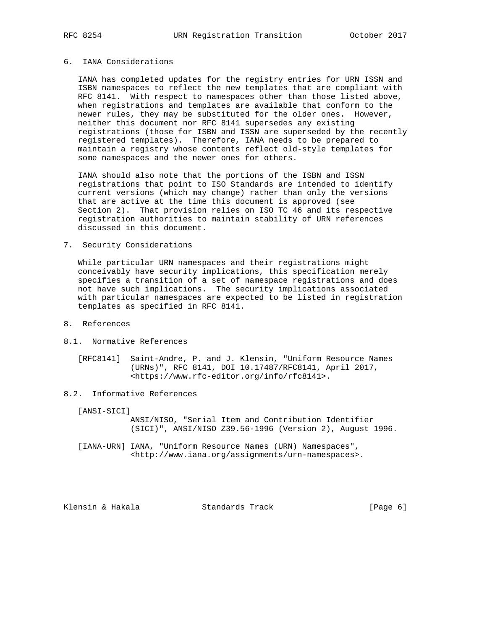## 6. IANA Considerations

 IANA has completed updates for the registry entries for URN ISSN and ISBN namespaces to reflect the new templates that are compliant with RFC 8141. With respect to namespaces other than those listed above, when registrations and templates are available that conform to the newer rules, they may be substituted for the older ones. However, neither this document nor RFC 8141 supersedes any existing registrations (those for ISBN and ISSN are superseded by the recently registered templates). Therefore, IANA needs to be prepared to maintain a registry whose contents reflect old-style templates for some namespaces and the newer ones for others.

 IANA should also note that the portions of the ISBN and ISSN registrations that point to ISO Standards are intended to identify current versions (which may change) rather than only the versions that are active at the time this document is approved (see Section 2). That provision relies on ISO TC 46 and its respective registration authorities to maintain stability of URN references discussed in this document.

### 7. Security Considerations

 While particular URN namespaces and their registrations might conceivably have security implications, this specification merely specifies a transition of a set of namespace registrations and does not have such implications. The security implications associated with particular namespaces are expected to be listed in registration templates as specified in RFC 8141.

# 8. References

- 8.1. Normative References
	- [RFC8141] Saint-Andre, P. and J. Klensin, "Uniform Resource Names (URNs)", RFC 8141, DOI 10.17487/RFC8141, April 2017, <https://www.rfc-editor.org/info/rfc8141>.

### 8.2. Informative References

[ANSI-SICI]

 ANSI/NISO, "Serial Item and Contribution Identifier (SICI)", ANSI/NISO Z39.56-1996 (Version 2), August 1996.

 [IANA-URN] IANA, "Uniform Resource Names (URN) Namespaces", <http://www.iana.org/assignments/urn-namespaces>.

Klensin & Hakala Standards Track [Page 6]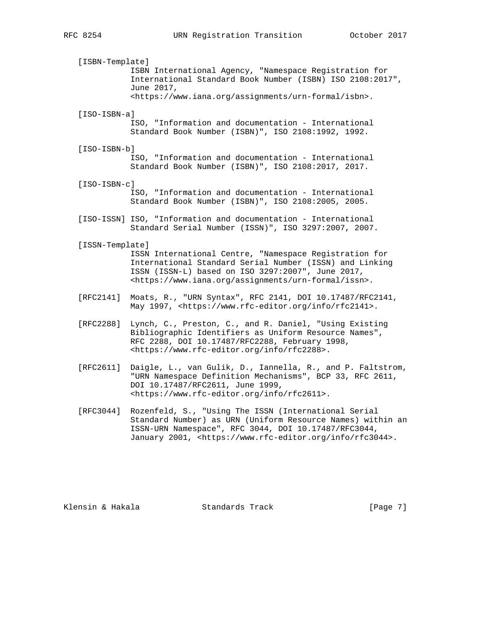[ISBN-Template] ISBN International Agency, "Namespace Registration for International Standard Book Number (ISBN) ISO 2108:2017", June 2017, <https://www.iana.org/assignments/urn-formal/isbn>. [ISO-ISBN-a] ISO, "Information and documentation - International Standard Book Number (ISBN)", ISO 2108:1992, 1992. [ISO-ISBN-b] ISO, "Information and documentation - International Standard Book Number (ISBN)", ISO 2108:2017, 2017. [ISO-ISBN-c] ISO, "Information and documentation - International Standard Book Number (ISBN)", ISO 2108:2005, 2005. [ISO-ISSN] ISO, "Information and documentation - International Standard Serial Number (ISSN)", ISO 3297:2007, 2007. [ISSN-Template] ISSN International Centre, "Namespace Registration for International Standard Serial Number (ISSN) and Linking ISSN (ISSN-L) based on ISO 3297:2007", June 2017, <https://www.iana.org/assignments/urn-formal/issn>. [RFC2141] Moats, R., "URN Syntax", RFC 2141, DOI 10.17487/RFC2141, May 1997, <https://www.rfc-editor.org/info/rfc2141>. [RFC2288] Lynch, C., Preston, C., and R. Daniel, "Using Existing Bibliographic Identifiers as Uniform Resource Names", RFC 2288, DOI 10.17487/RFC2288, February 1998, <https://www.rfc-editor.org/info/rfc2288>. [RFC2611] Daigle, L., van Gulik, D., Iannella, R., and P. Faltstrom, "URN Namespace Definition Mechanisms", BCP 33, RFC 2611, DOI 10.17487/RFC2611, June 1999, <https://www.rfc-editor.org/info/rfc2611>.

 [RFC3044] Rozenfeld, S., "Using The ISSN (International Serial Standard Number) as URN (Uniform Resource Names) within an ISSN-URN Namespace", RFC 3044, DOI 10.17487/RFC3044, January 2001, <https://www.rfc-editor.org/info/rfc3044>.

Klensin & Hakala Standards Track [Page 7]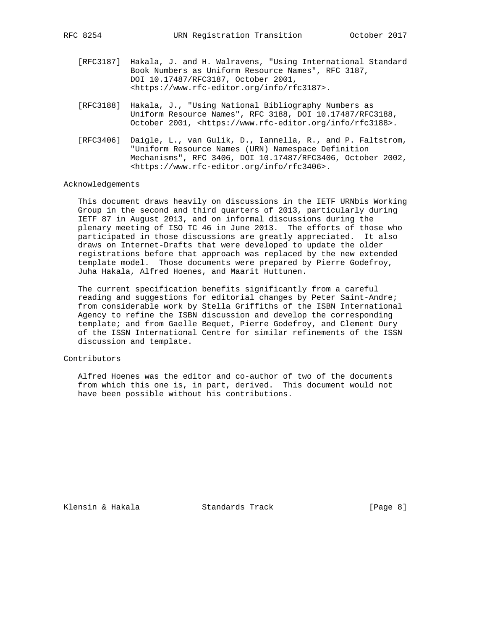- [RFC3187] Hakala, J. and H. Walravens, "Using International Standard Book Numbers as Uniform Resource Names", RFC 3187, DOI 10.17487/RFC3187, October 2001, <https://www.rfc-editor.org/info/rfc3187>.
- [RFC3188] Hakala, J., "Using National Bibliography Numbers as Uniform Resource Names", RFC 3188, DOI 10.17487/RFC3188, October 2001, <https://www.rfc-editor.org/info/rfc3188>.
- [RFC3406] Daigle, L., van Gulik, D., Iannella, R., and P. Faltstrom, "Uniform Resource Names (URN) Namespace Definition Mechanisms", RFC 3406, DOI 10.17487/RFC3406, October 2002, <https://www.rfc-editor.org/info/rfc3406>.

#### Acknowledgements

 This document draws heavily on discussions in the IETF URNbis Working Group in the second and third quarters of 2013, particularly during IETF 87 in August 2013, and on informal discussions during the plenary meeting of ISO TC 46 in June 2013. The efforts of those who participated in those discussions are greatly appreciated. It also draws on Internet-Drafts that were developed to update the older registrations before that approach was replaced by the new extended template model. Those documents were prepared by Pierre Godefroy, Juha Hakala, Alfred Hoenes, and Maarit Huttunen.

 The current specification benefits significantly from a careful reading and suggestions for editorial changes by Peter Saint-Andre; from considerable work by Stella Griffiths of the ISBN International Agency to refine the ISBN discussion and develop the corresponding template; and from Gaelle Bequet, Pierre Godefroy, and Clement Oury of the ISSN International Centre for similar refinements of the ISSN discussion and template.

#### Contributors

 Alfred Hoenes was the editor and co-author of two of the documents from which this one is, in part, derived. This document would not have been possible without his contributions.

Klensin & Hakala Standards Track [Page 8]